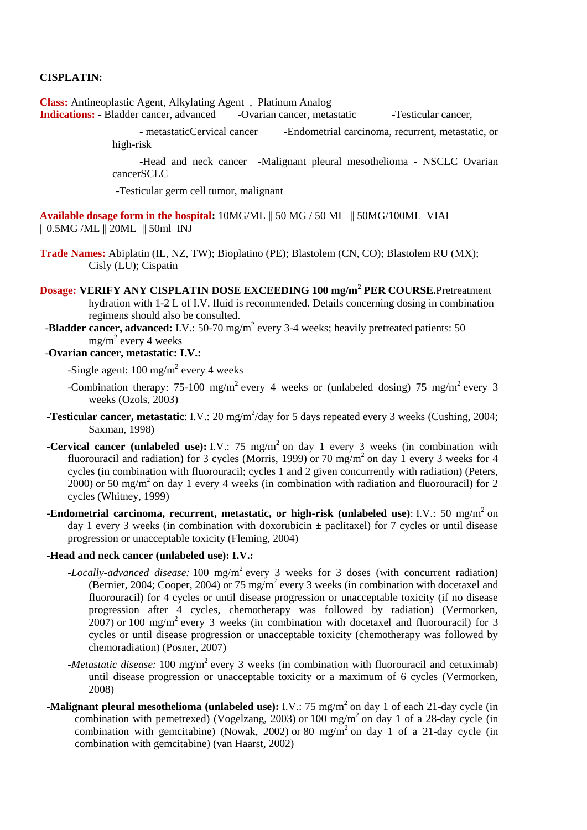### **CISPLATIN:**

**Class:** Antineoplastic Agent, Alkylating Agent , Platinum Analog

**Indications:** - Bladder cancer, advanced -Ovarian cancer, metastatic -Testicular cancer,

 - metastaticCervical cancer -Endometrial carcinoma, recurrent, metastatic, or high-risk

 -Head and neck cancer -Malignant pleural mesothelioma - NSCLC Ovarian cancerSCLC

-Testicular germ cell tumor, malignant

**Available dosage form in the hospital:** 10MG/ML || 50 MG / 50 ML || 50MG/100ML VIAL || 0.5MG /ML || 20ML || 50ml INJ

- **Trade Names:** Abiplatin (IL, NZ, TW); Bioplatino (PE); Blastolem (CN, CO); Blastolem RU (MX); Cisly (LU); Cispatin
- **Dosage: VERIFY ANY CISPLATIN DOSE EXCEEDING 100 mg/m<sup>2</sup> PER COURSE.**Pretreatment hydration with 1-2 L of I.V. fluid is recommended. Details concerning dosing in combination regimens should also be consulted.
- -**Bladder cancer, advanced:** I.V.: 50-70 mg/m<sup>2</sup> every 3-4 weeks; heavily pretreated patients: 50 mg/m<sup>2</sup> every 4 weeks
- -**Ovarian cancer, metastatic: I.V.:**

-Single agent:  $100 \text{ mg/m}^2$  every 4 weeks

- -Combination therapy: 75-100 mg/m<sup>2</sup> every 4 weeks or (unlabeled dosing) 75 mg/m<sup>2</sup> every 3 weeks (Ozols, 2003)
- **-Testicular cancer, metastatic**: I.V.: 20 mg/m<sup>2</sup>/day for 5 days repeated every 3 weeks (Cushing, 2004; Saxman, 1998)
- **-Cervical cancer (unlabeled use):** I.V.: 75 mg/m<sup>2</sup> on day 1 every 3 weeks (in combination with fluorouracil and radiation) for 3 cycles (Morris, 1999) or 70 mg/m<sup>2</sup> on day 1 every 3 weeks for 4 cycles (in combination with fluorouracil; cycles 1 and 2 given concurrently with radiation) (Peters,  $2000$ ) or 50 mg/m<sup>2</sup> on day 1 every 4 weeks (in combination with radiation and fluorouracil) for 2 cycles (Whitney, 1999)
- -**Endometrial carcinoma, recurrent, metastatic, or high-risk (unlabeled use):** I.V.: 50 mg/m<sup>2</sup> on day 1 every 3 weeks (in combination with doxorubicin  $\pm$  paclitaxel) for 7 cycles or until disease progression or unacceptable toxicity (Fleming, 2004)

#### -**Head and neck cancer (unlabeled use): I.V.:**

- *-Locally-advanced disease:* 100 mg/m<sup>2</sup> every 3 weeks for 3 doses (with concurrent radiation) (Bernier, 2004; Cooper, 2004) or 75 mg/m<sup>2</sup> every 3 weeks (in combination with docetaxel and fluorouracil) for 4 cycles or until disease progression or unacceptable toxicity (if no disease progression after 4 cycles, chemotherapy was followed by radiation) (Vermorken,  $2007$ ) or 100 mg/m<sup>2</sup> every 3 weeks (in combination with docetaxel and fluorouracil) for 3 cycles or until disease progression or unacceptable toxicity (chemotherapy was followed by chemoradiation) (Posner, 2007)
- *-Metastatic disease*: 100 mg/m<sup>2</sup> every 3 weeks (in combination with fluorouracil and cetuximab) until disease progression or unacceptable toxicity or a maximum of 6 cycles (Vermorken, 2008)
- **-Malignant pleural mesothelioma (unlabeled use):** I.V.: 75 mg/m<sup>2</sup> on day 1 of each 21-day cycle (in combination with pemetrexed) (Vogelzang, 2003) or 100 mg/m<sup>2</sup> on day 1 of a 28-day cycle (in combination with gemcitabine) (Nowak, 2002) or 80 mg/m<sup>2</sup> on day 1 of a 21-day cycle (in combination with gemcitabine) (van Haarst, 2002)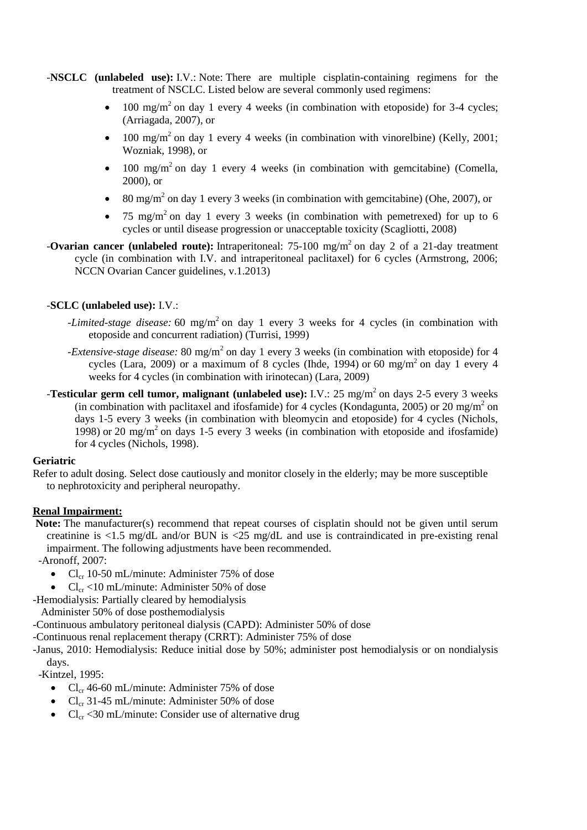- -**NSCLC (unlabeled use):** I.V.: Note: There are multiple cisplatin-containing regimens for the treatment of NSCLC. Listed below are several commonly used regimens:
	- 100 mg/m<sup>2</sup> on day 1 every 4 weeks (in combination with etoposide) for 3-4 cycles; (Arriagada, 2007), or
	- 100 mg/m<sup>2</sup> on day 1 every 4 weeks (in combination with vinorelbine) (Kelly, 2001; Wozniak, 1998), or
	- 100 mg/m<sup>2</sup> on day 1 every 4 weeks (in combination with gemcitabine) (Comella, 2000), or
	- $\bullet$  80 mg/m<sup>2</sup> on day 1 every 3 weeks (in combination with gemcitabine) (Ohe, 2007), or
	- 75 mg/m<sup>2</sup> on day 1 every 3 weeks (in combination with pemetrexed) for up to 6 cycles or until disease progression or unacceptable toxicity (Scagliotti, 2008)
- **-Ovarian cancer (unlabeled route):** Intraperitoneal: 75-100 mg/m<sup>2</sup> on day 2 of a 21-day treatment cycle (in combination with I.V. and intraperitoneal paclitaxel) for 6 cycles (Armstrong, 2006; NCCN Ovarian Cancer guidelines, v.1.2013)

# -**SCLC (unlabeled use):** I.V.:

- *-Limited-stage disease:* 60 mg/m<sup>2</sup> on day 1 every 3 weeks for 4 cycles (in combination with etoposide and concurrent radiation) (Turrisi, 1999)
- -*Extensive-stage disease:* 80 mg/m<sup>2</sup> on day 1 every 3 weeks (in combination with etoposide) for 4 cycles (Lara, 2009) or a maximum of 8 cycles (Ihde, 1994) or 60 mg/m<sup>2</sup> on day 1 every 4 weeks for 4 cycles (in combination with irinotecan) (Lara, 2009)
- **-Testicular germ cell tumor, malignant (unlabeled use):** I.V.: 25 mg/m<sup>2</sup> on days 2-5 every 3 weeks (in combination with paclitaxel and ifosfamide) for 4 cycles (Kondagunta, 2005) or 20 mg/m<sup>2</sup> on days 1-5 every 3 weeks (in combination with bleomycin and etoposide) for 4 cycles (Nichols, 1998) or 20 mg/m<sup>2</sup> on days 1-5 every 3 weeks (in combination with etoposide and ifosfamide) for 4 cycles (Nichols, 1998).

# **Geriatric**

Refer to adult dosing. Select dose cautiously and monitor closely in the elderly; may be more susceptible to nephrotoxicity and peripheral neuropathy.

# **Renal Impairment:**

**Note:** The manufacturer(s) recommend that repeat courses of cisplatin should not be given until serum creatinine is  $\langle 1.5 \text{ mg/d} L \text{ and/or BUN}$  is  $\langle 25 \text{ mg/d} L \text{ and use}$  is contraindicated in pre-existing renal impairment. The following adjustments have been recommended.

-Aronoff, 2007:

- $Cl_{cr}$  10-50 mL/minute: Administer 75% of dose
- $Cl_{cr}$  <10 mL/minute: Administer 50% of dose
- -Hemodialysis: Partially cleared by hemodialysis

Administer 50% of dose posthemodialysis

-Continuous ambulatory peritoneal dialysis (CAPD): Administer 50% of dose

-Continuous renal replacement therapy (CRRT): Administer 75% of dose

-Janus, 2010: Hemodialysis: Reduce initial dose by 50%; administer post hemodialysis or on nondialysis days.

-Kintzel, 1995:

- Cl<sub>cr</sub> 46-60 mL/minute: Administer 75% of dose
- $Cl<sub>cr</sub>$  31-45 mL/minute: Administer 50% of dose
- $Cl_{cr} < 30 \text{ mL/minute}$ : Consider use of alternative drug